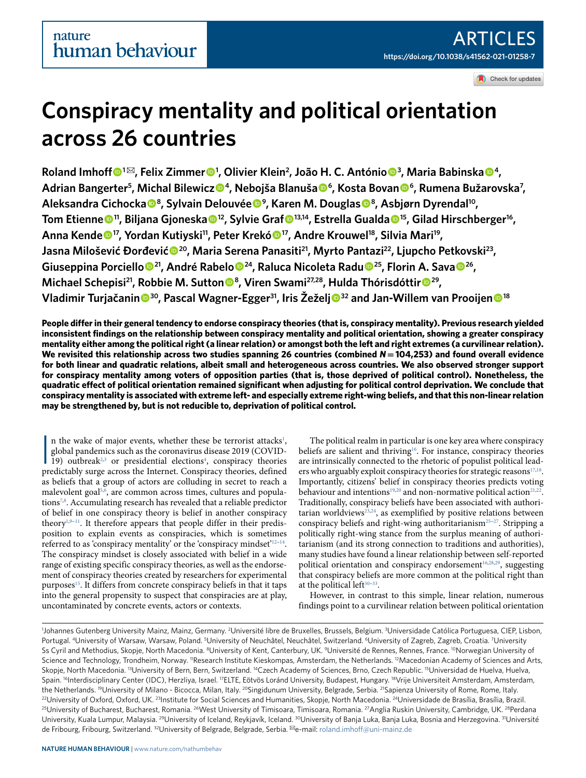Check for updates

# **Conspiracy mentality and political orientation across 26 countries**

**Roland Imhoff** <sup>● 1⊠</sup>, Felix Zimmer <sup>● 1</sup>, Olivier Klein<sup>2</sup>, João H. C. António ● <sup>3</sup>, Maria Babinska ● <sup>4</sup>, **Adrian Bangerter<sup>5</sup> , Michal Bilewicz <sup>4</sup> , Nebojša Blanuša  <sup>6</sup> , Kosta Bovan  <sup>6</sup> , Rumena Bužarovska<sup>7</sup> , Aleksandra Cichocka  <sup>8</sup> , Sylvain Delouvée  <sup>9</sup> , Karen M. Douglas  <sup>8</sup> , Asbjørn Dyrendal<sup>10</sup> , Tom Etienne <sup>11</sup>, Biljana Gjoneska  <sup>12</sup>, Sylvie Graf  13,14, Estrella Gualda <sup>15</sup>, Gilad Hirschberger<sup>16</sup> , Anna Kende <sup>17</sup>, Yordan Kutiyski11, Peter Krekó  <sup>17</sup>, Andre Krouwel18, Silvia Mari<sup>19</sup> , Jasna Milošević Đorđević <sup>20</sup>, Maria Serena Panasiti21, Myrto Pantazi22, Ljupcho Petkovski<sup>23</sup> , Giuseppina Porciello <sup>21</sup>, André Rabelo <sup>24</sup>, Raluca Nicoleta Radu  <sup>25</sup>, Florin A. Sava  <sup>26</sup> , Michael Schepisi<sup>21</sup>, Robbie M. Sutton<sup>®</sup>, Viren Swami<sup>27,28</sup>, Hulda Thórisdóttir<sup>®29</sup>, Vladimir Turjačanin <sup>30</sup>, Pascal Wagner-Egger31, Iris Žeželj <sup>32</sup> and Jan-Willem van Prooijen  <sup>18</sup>**

**People differ in their general tendency to endorse conspiracy theories (that is, conspiracy mentality). Previous research yielded inconsistent findings on the relationship between conspiracy mentality and political orientation, showing a greater conspiracy mentality either among the political right (a linear relation) or amongst both the left and right extremes (a curvilinear relation). We revisited this relationship across two studies spanning 26 countries (combined** *N***= 104,253) and found overall evidence for both linear and quadratic relations, albeit small and heterogeneous across countries. We also observed stronger support for conspiracy mentality among voters of opposition parties (that is, those deprived of political control). Nonetheless, the quadratic effect of political orientation remained significant when adjusting for political control deprivation. We conclude that conspiracy mentality is associated with extreme left- and especially extreme right-wing beliefs, and that this non-linear relation may be strengthened by, but is not reducible to, deprivation of political control.**

n the wake of major events, whether these be terrorist attacks<sup>1</sup>, global pandemics such as the coronavirus disease 2019 (COVID-19) outbreak<sup>2,3</sup> or presidential elections<sup>4</sup>, conspiracy theories predictably surge across t n the wake of major events, whether these be terrorist attacks<sup>[1](#page-9-0)</sup>, global pandemics such as the coronavirus disease 2019 (COVID-19) outbreak<sup>[2](#page-9-1),[3](#page-9-2)</sup> or presidential elections<sup>[4](#page-9-3)</sup>, conspiracy theories as beliefs that a group of actors are colluding in secret to reach a malevolent goal[5](#page-9-4),[6](#page-9-5) , are common across times, cultures and popula-tions<sup>[7,](#page-9-6)[8](#page-9-7)</sup>. Accumulating research has revealed that a reliable predictor of belief in one conspiracy theory is belief in another conspiracy theory<sup>[1,](#page-9-0)[9](#page-9-8)-11</sup>. It therefore appears that people differ in their predisposition to explain events as conspiracies, which is sometimes referred to as 'conspiracy mentality' or the 'conspiracy mindset'<sup>[12](#page-9-10)-14</sup>. The conspiracy mindset is closely associated with belief in a wide range of existing specific conspiracy theories, as well as the endorsement of conspiracy theories created by researchers for experimental purposes[15](#page-10-1). It differs from concrete conspiracy beliefs in that it taps into the general propensity to suspect that conspiracies are at play, uncontaminated by concrete events, actors or contexts.

The political realm in particular is one key area where conspiracy beliefs are salient and thriving<sup>[16](#page-10-2)</sup>. For instance, conspiracy theories are intrinsically connected to the rhetoric of populist political lead-ers who arguably exploit conspiracy theories for strategic reasons<sup>[17](#page-10-3)[,18](#page-10-4)</sup>. Importantly, citizens' belief in conspiracy theories predicts voting behaviour and intentions<sup>[19](#page-10-5),[20](#page-10-6)</sup> and non-normative political action<sup>[21](#page-10-7)[,22](#page-10-8)</sup>. Traditionally, conspiracy beliefs have been associated with authori-tarian worldviews<sup>[23,](#page-10-9)[24](#page-10-10)</sup>, as exemplified by positive relations between conspiracy beliefs and right-wing authoritarianism<sup>25-[27](#page-10-12)</sup>. Stripping a politically right-wing stance from the surplus meaning of authoritarianism (and its strong connection to traditions and authorities), many studies have found a linear relationship between self-reported political orientation and conspiracy endorsement<sup>[16,](#page-10-2)[28](#page-10-13)[,29](#page-10-14)</sup>, suggesting that conspiracy beliefs are more common at the political right than at the political left<sup>30-[33](#page-10-16)</sup>.

However, in contrast to this simple, linear relation, numerous findings point to a curvilinear relation between political orientation

<sup>1</sup>Johannes Gutenberg University Mainz, Mainz, Germany. <sup>2</sup>Université libre de Bruxelles, Brussels, Belgium. <sup>3</sup>Universidade Católica Portuguesa, CIEP, Lisbon, Portugal. <sup>4</sup>University of Warsaw, Warsaw, Poland. <sup>5</sup>University of Neuchâtel, Neuchâtel, Switzerland. <sup>6</sup>University of Zagreb, Zagreb, Croatia. <sup>7</sup>University Ss Cyril and Methodius, Skopje, North Macedonia. <sup>8</sup>University of Kent, Canterbury, UK. <sup>9</sup>Université de Rennes, Rennes, France. <sup>10</sup>Norwegian University of Science and Technology, Trondheim, Norway. <sup>11</sup>Research Institute Kieskompas, Amsterdam, the Netherlands. <sup>12</sup>Macedonian Academy of Sciences and Arts, Skopje, North Macedonia. <sup>13</sup>University of Bern, Bern, Switzerland. <sup>14</sup>Czech Academy of Sciences, Brno, Czech Republic. <sup>15</sup>Universidad de Huelva, Huelva, Spain. <sup>16</sup>Interdisciplinary Center (IDC), Herzliya, Israel. <sup>17</sup>ELTE, Eötvös Loránd University, Budapest, Hungary. <sup>18</sup>Vrije Universiteit Amsterdam, Amsterdam, the Netherlands. <sup>19</sup>University of Milano - Bicocca, Milan, Italy. <sup>20</sup>Singidunum University, Belgrade, Serbia. <sup>21</sup>Sapienza University of Rome, Rome, Italy.  $^{22}$ University of Oxford, Oxford, UK.  $^{23}$ Institute for Social Sciences and Humanities, Skopje, North Macedonia. <sup>24</sup>Universidade de Brasília, Brasília, Brasília, Brasília, Brazil. <sup>25</sup>University of Bucharest, Bucharest, Romania. <sup>26</sup>West University of Timisoara, Timisoara, Romania. <sup>27</sup>Anglia Ruskin University, Cambridge, UK. <sup>28</sup>Perdana University, Kuala Lumpur, Malaysia. <sup>29</sup>University of Iceland, Reykjavík, Iceland. <sup>30</sup>University of Banja Luka, Banja Luka, Bosnia and Herzegovina. <sup>31</sup>Université de Fribourg, Fribourg, Switzerland. 32University of Belgrade, Belgrade, Serbia. ✉e-mail: [roland.imhoff@uni-mainz.de](mailto:roland.imhoff@uni-mainz.de)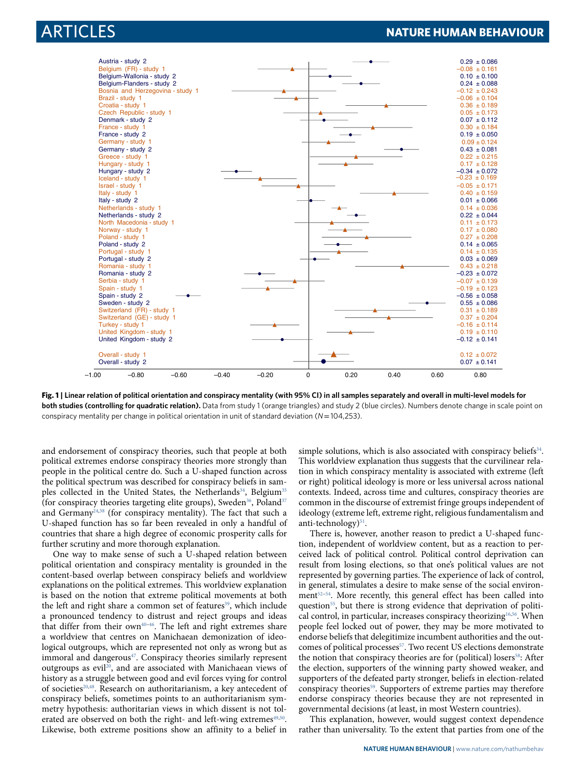

<span id="page-1-0"></span>**Fig. 1 | Linear relation of political orientation and conspiracy mentality (with 95% CI) in all samples separately and overall in multi-level models for both studies (controlling for quadratic relation).** Data from study 1 (orange triangles) and study 2 (blue circles). Numbers denote change in scale point on conspiracy mentality per change in political orientation in unit of standard deviation (*N*= 104,253).

and endorsement of conspiracy theories, such that people at both political extremes endorse conspiracy theories more strongly than people in the political centre do. Such a U-shaped function across the political spectrum was described for conspiracy beliefs in sam-ples collected in the United States, the Netherlands<sup>[34](#page-10-17)</sup>, Belgium<sup>[35](#page-10-18)</sup> (for conspiracy theories targeting elite groups), Sweden<sup>[36](#page-10-19)</sup>, Poland<sup>[37](#page-10-20)</sup> and Germany<sup>[24](#page-10-10)[,38](#page-10-21)</sup> (for conspiracy mentality). The fact that such a U-shaped function has so far been revealed in only a handful of countries that share a high degree of economic prosperity calls for further scrutiny and more thorough explanation.

One way to make sense of such a U-shaped relation between political orientation and conspiracy mentality is grounded in the content-based overlap between conspiracy beliefs and worldview explanations on the political extremes. This worldview explanation is based on the notion that extreme political movements at both the left and right share a common set of features<sup>[39](#page-10-22)</sup>, which include a pronounced tendency to distrust and reject groups and ideas that differ from their own<sup>40-[46](#page-10-24)</sup>. The left and right extremes share a worldview that centres on Manichaean demonization of ideological outgroups, which are represented not only as wrong but as immoral and dangerous<sup>[47](#page-10-25)</sup>. Conspiracy theories similarly represent outgroups as evil<sup>[20](#page-10-6)</sup>, and are associated with Manichaean views of history as a struggle between good and evil forces vying for control of societies<sup>[20,](#page-10-6)[48](#page-10-26)</sup>. Research on authoritarianism, a key antecedent of conspiracy beliefs, sometimes points to an authoritarianism symmetry hypothesis: authoritarian views in which dissent is not tol-erated are observed on both the right- and left-wing extremes<sup>[49](#page-10-27)[,50](#page-10-28)</sup>. Likewise, both extreme positions show an affinity to a belief in

simple solutions, which is also associated with conspiracy beliefs<sup>[34](#page-10-17)</sup>. This worldview explanation thus suggests that the curvilinear relation in which conspiracy mentality is associated with extreme (left or right) political ideology is more or less universal across national contexts. Indeed, across time and cultures, conspiracy theories are common in the discourse of extremist fringe groups independent of ideology (extreme left, extreme right, religious fundamentalism and anti-technology)<sup>[51](#page-10-29)</sup>.

There is, however, another reason to predict a U-shaped function, independent of worldview content, but as a reaction to perceived lack of political control. Political control deprivation can result from losing elections, so that one's political values are not represented by governing parties. The experience of lack of control, in general, stimulates a desire to make sense of the social environ-ment<sup>[52](#page-10-30)-[54](#page-10-31)</sup>. More recently, this general effect has been called into question<sup>[55](#page-10-32)</sup>, but there is strong evidence that deprivation of politi-cal control, in particular, increases conspiracy theorizing<sup>[16](#page-10-2)[,56](#page-10-33)</sup>. When people feel locked out of power, they may be more motivated to endorse beliefs that delegitimize incumbent authorities and the out-comes of political processes<sup>[57](#page-10-34)</sup>. Two recent US elections demonstrate the notion that conspiracy theories are for (political) losers<sup>[58](#page-10-35)</sup>: After the election, supporters of the winning party showed weaker, and supporters of the defeated party stronger, beliefs in election-related conspiracy theories<sup>[59](#page-10-36)</sup>. Supporters of extreme parties may therefore endorse conspiracy theories because they are not represented in governmental decisions (at least, in most Western countries).

This explanation, however, would suggest context dependence rather than universality. To the extent that parties from one of the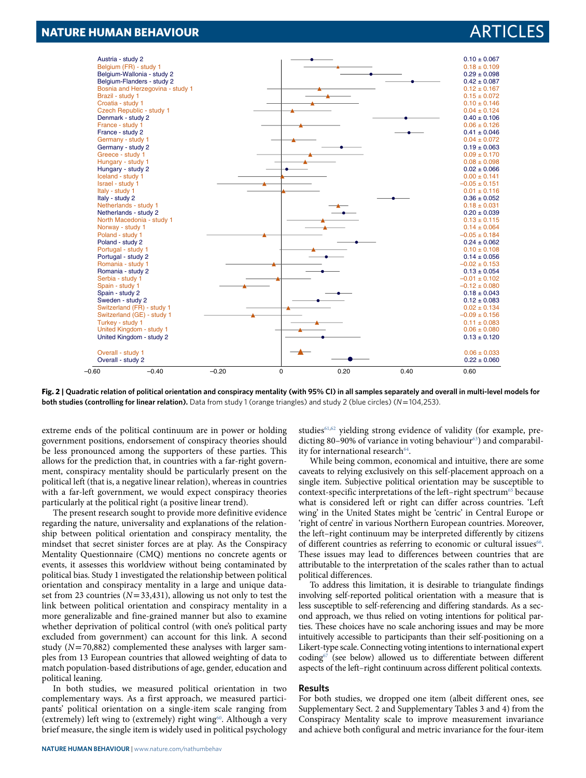

<span id="page-2-0"></span>**Fig. 2 | Quadratic relation of political orientation and conspiracy mentality (with 95% CI) in all samples separately and overall in multi-level models for both studies (controlling for linear relation).** Data from study 1 (orange triangles) and study 2 (blue circles) (*N*=104,253).

extreme ends of the political continuum are in power or holding government positions, endorsement of conspiracy theories should be less pronounced among the supporters of these parties. This allows for the prediction that, in countries with a far-right government, conspiracy mentality should be particularly present on the political left (that is, a negative linear relation), whereas in countries with a far-left government, we would expect conspiracy theories particularly at the political right (a positive linear trend).

The present research sought to provide more definitive evidence regarding the nature, universality and explanations of the relationship between political orientation and conspiracy mentality, the mindset that secret sinister forces are at play. As the Conspiracy Mentality Questionnaire (CMQ) mentions no concrete agents or events, it assesses this worldview without being contaminated by political bias. Study 1 investigated the relationship between political orientation and conspiracy mentality in a large and unique dataset from 23 countries ( $N= 33,431$ ), allowing us not only to test the link between political orientation and conspiracy mentality in a more generalizable and fine-grained manner but also to examine whether deprivation of political control (with one's political party excluded from government) can account for this link. A second study ( $N = 70,882$ ) complemented these analyses with larger samples from 13 European countries that allowed weighting of data to match population-based distributions of age, gender, education and political leaning.

In both studies, we measured political orientation in two complementary ways. As a first approach, we measured participants' political orientation on a single-item scale ranging from (extremely) left wing to (extremely) right wing<sup>[60](#page-10-37)</sup>. Although a very brief measure, the single item is widely used in political psychology

studies<sup>[61](#page-10-38)[,62](#page-10-39)</sup> yielding strong evidence of validity (for example, pre-dicting 80–90% of variance in voting behaviour<sup>[63](#page-10-40)</sup>) and comparabil-ity for international research<sup>[64](#page-10-41)</sup>.

While being common, economical and intuitive, there are some caveats to relying exclusively on this self-placement approach on a single item. Subjective political orientation may be susceptible to context-specific interpretations of the left-right spectrum<sup>[65](#page-10-42)</sup> because what is considered left or right can differ across countries. 'Left wing' in the United States might be 'centric' in Central Europe or 'right of centre' in various Northern European countries. Moreover, the left–right continuum may be interpreted differently by citizens of different countries as referring to economic or cultural issues<sup>[66](#page-10-43)</sup>. These issues may lead to differences between countries that are attributable to the interpretation of the scales rather than to actual political differences.

To address this limitation, it is desirable to triangulate findings involving self-reported political orientation with a measure that is less susceptible to self-referencing and differing standards. As a second approach, we thus relied on voting intentions for political parties. These choices have no scale anchoring issues and may be more intuitively accessible to participants than their self-positioning on a Likert-type scale. Connecting voting intentions to international expert coding<sup>[67](#page-10-44)</sup> (see below) allowed us to differentiate between different aspects of the left–right continuum across different political contexts.

#### **Results**

For both studies, we dropped one item (albeit different ones, see Supplementary Sect. 2 and Supplementary Tables 3 and 4) from the Conspiracy Mentality scale to improve measurement invariance and achieve both configural and metric invariance for the four-item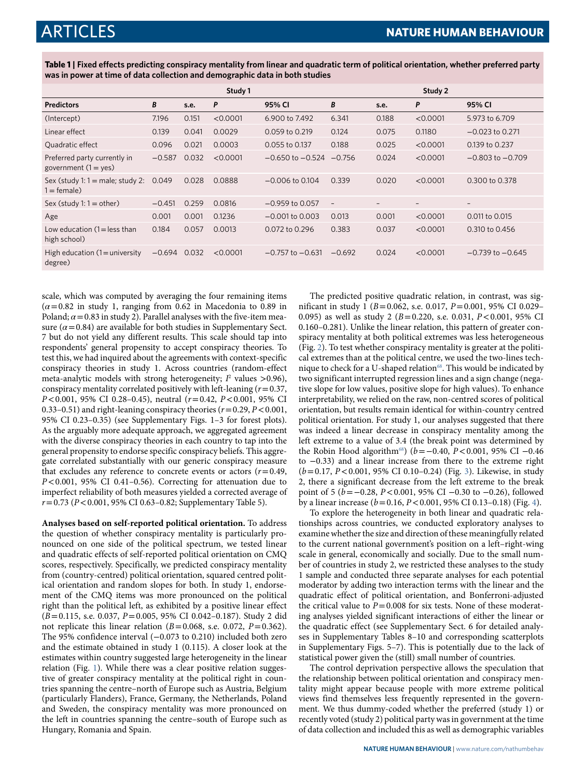<span id="page-3-0"></span>**Table 1 | Fixed effects predicting conspiracy mentality from linear and quadratic term of political orientation, whether preferred party was in power at time of data collection and demographic data in both studies**

|                                                           |          |       | Study 1  |                               |                          |                          | Study 2                  |                      |
|-----------------------------------------------------------|----------|-------|----------|-------------------------------|--------------------------|--------------------------|--------------------------|----------------------|
| <b>Predictors</b>                                         | B        | s.e.  | P        | 95% CI                        | B                        | s.e.                     | P                        | 95% CI               |
| (Intercept)                                               | 7.196    | 0.151 | < 0.0001 | 6.900 to 7.492                | 6.341                    | 0.188                    | < 0.0001                 | 5.973 to 6.709       |
| Linear effect                                             | 0.139    | 0.041 | 0.0029   | $0.059$ to $0.219$            | 0.124                    | 0.075                    | 0.1180                   | $-0.023$ to 0.271    |
| Quadratic effect                                          | 0.096    | 0.021 | 0.0003   | 0.055 to 0.137                | 0.188                    | 0.025                    | < 0.0001                 | 0.139 to 0.237       |
| Preferred party currently in<br>government $(1 = yes)$    | $-0.587$ | 0.032 | < 0.0001 | $-0.650$ to $-0.524$ $-0.756$ |                          | 0.024                    | < 0.0001                 | $-0.803$ to $-0.709$ |
| Sex (study 1: $1 =$ male; study 2:<br>$1 = \text{female}$ | 0.049    | 0.028 | 0.0888   | $-0.006$ to 0.104             | 0.339                    | 0.020                    | < 0.0001                 | 0.300 to 0.378       |
| Sex (study $1:1 =$ other)                                 | $-0.451$ | 0.259 | 0.0816   | $-0.959$ to 0.057             | $\overline{\phantom{a}}$ | $\overline{\phantom{0}}$ | $\overline{\phantom{0}}$ | $\qquad \qquad -$    |
| Age                                                       | 0.001    | 0.001 | 0.1236   | $-0.001$ to 0.003             | 0.013                    | 0.001                    | < 0.0001                 | 0.011 to 0.015       |
| Low education $(1 = \text{less than})$<br>high school)    | 0.184    | 0.057 | 0.0013   | 0.072 to 0.296                | 0.383                    | 0.037                    | < 0.0001                 | 0.310 to 0.456       |
| High education $(1 =$ university<br>degree)               | $-0.694$ | 0.032 | < 0.0001 | $-0.757$ to $-0.631$          | $-0.692$                 | 0.024                    | < 0.0001                 | $-0.739$ to $-0.645$ |

scale, which was computed by averaging the four remaining items  $(\alpha = 0.82$  in study 1, ranging from 0.62 in Macedonia to 0.89 in Poland;  $\alpha$  = 0.83 in study 2). Parallel analyses with the five-item measure  $(a=0.84)$  are available for both studies in Supplementary Sect. 7 but do not yield any different results. This scale should tap into respondents' general propensity to accept conspiracy theories. To test this, we had inquired about the agreements with context-specific conspiracy theories in study 1. Across countries (random-effect meta-analytic models with strong heterogeneity;  $I^2$  values >0.96), conspiracy mentality correlated positively with left-leaning  $(r= 0.37,$  $P < 0.001$ , 95% CI 0.28-0.45), neutral  $(r= 0.42, P < 0.001, 95\%$  CI 0.33–0.51) and right-leaning conspiracy theories  $(r= 0.29, P< 0.001,$ 95% CI 0.23–0.35) (see Supplementary Figs. 1–3 for forest plots). As the arguably more adequate approach, we aggregated agreement with the diverse conspiracy theories in each country to tap into the general propensity to endorse specific conspiracy beliefs. This aggregate correlated substantially with our generic conspiracy measure that excludes any reference to concrete events or actors  $(r= 0.49,$ P< 0.001, 95% CI 0.41–0.56). Correcting for attenuation due to imperfect reliability of both measures yielded a corrected average of  $r = 0.73$  (P < 0.001, 95% CI 0.63-0.82; Supplementary Table 5).

**Analyses based on self-reported political orientation.** To address the question of whether conspiracy mentality is particularly pronounced on one side of the political spectrum, we tested linear and quadratic effects of self-reported political orientation on CMQ scores, respectively. Specifically, we predicted conspiracy mentality from (country-centred) political orientation, squared centred political orientation and random slopes for both. In study 1, endorsement of the CMQ items was more pronounced on the political right than the political left, as exhibited by a positive linear effect (B= 0.115, s.e. 0.037, P= 0.005, 95% CI 0.042–0.187). Study 2 did not replicate this linear relation ( $B = 0.068$ , s.e. 0.072,  $P = 0.362$ ). The 95% confidence interval (−0.073 to 0.210) included both zero and the estimate obtained in study 1 (0.115). A closer look at the estimates within country suggested large heterogeneity in the linear relation (Fig. [1\)](#page-1-0). While there was a clear positive relation suggestive of greater conspiracy mentality at the political right in countries spanning the centre–north of Europe such as Austria, Belgium (particularly Flanders), France, Germany, the Netherlands, Poland and Sweden, the conspiracy mentality was more pronounced on the left in countries spanning the centre–south of Europe such as Hungary, Romania and Spain.

The predicted positive quadratic relation, in contrast, was significant in study 1 ( $B = 0.062$ , s.e. 0.017,  $P = 0.001$ , 95% CI 0.029– 0.095) as well as study 2 ( $B = 0.220$ , s.e. 0.031,  $P < 0.001$ , 95% CI 0.160–0.281). Unlike the linear relation, this pattern of greater conspiracy mentality at both political extremes was less heterogeneous (Fig. [2](#page-2-0)). To test whether conspiracy mentality is greater at the political extremes than at the political centre, we used the two-lines tech-nique to check for a U-shaped relation<sup>[68](#page-10-45)</sup>. This would be indicated by two significant interrupted regression lines and a sign change (negative slope for low values, positive slope for high values). To enhance interpretability, we relied on the raw, non-centred scores of political orientation, but results remain identical for within-country centred political orientation. For study 1, our analyses suggested that there was indeed a linear decrease in conspiracy mentality among the left extreme to a value of 3.4 (the break point was determined by the Robin Hood algorithm<sup>[68](#page-10-45)</sup>) ( $b = -0.40, P < 0.001, 95\%$  CI −0.46 to −0.33) and a linear increase from there to the extreme right (b= 0.17, P< 0.001, 95% CI 0.10–0.24) (Fig. [3\)](#page-4-0). Likewise, in study 2, there a significant decrease from the left extreme to the break point of 5 (b=−0.28, P< 0.001, 95% CI −0.30 to −0.26), followed by a linear increase ( $b = 0.16$ ,  $P < 0.001$ , 95% CI 0.13–0.18) (Fig. [4](#page-5-0)).

To explore the heterogeneity in both linear and quadratic relationships across countries, we conducted exploratory analyses to examine whether the size and direction of these meaningfully related to the current national government's position on a left–right-wing scale in general, economically and socially. Due to the small number of countries in study 2, we restricted these analyses to the study 1 sample and conducted three separate analyses for each potential moderator by adding two interaction terms with the linear and the quadratic effect of political orientation, and Bonferroni-adjusted the critical value to  $P = 0.008$  for six tests. None of these moderating analyses yielded significant interactions of either the linear or the quadratic effect (see Supplementary Sect. 6 for detailed analyses in Supplementary Tables 8–10 and corresponding scatterplots in Supplementary Figs. 5–7). This is potentially due to the lack of statistical power given the (still) small number of countries.

The control deprivation perspective allows the speculation that the relationship between political orientation and conspiracy mentality might appear because people with more extreme political views find themselves less frequently represented in the government. We thus dummy-coded whether the preferred (study 1) or recently voted (study 2) political party was in government at the time of data collection and included this as well as demographic variables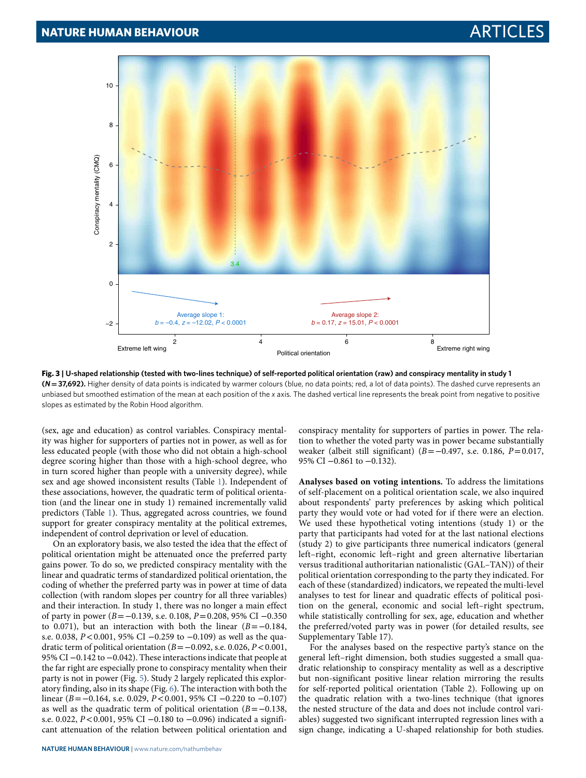

<span id="page-4-0"></span>**Fig. 3 | u-shaped relationship (tested with two-lines technique) of self-reported political orientation (raw) and conspiracy mentality in study 1 (***N***= 37,692).** Higher density of data points is indicated by warmer colours (blue, no data points; red, a lot of data points). The dashed curve represents an unbiased but smoothed estimation of the mean at each position of the *x* axis. The dashed vertical line represents the break point from negative to positive slopes as estimated by the Robin Hood algorithm.

(sex, age and education) as control variables. Conspiracy mentality was higher for supporters of parties not in power, as well as for less educated people (with those who did not obtain a high-school degree scoring higher than those with a high-school degree, who in turn scored higher than people with a university degree), while sex and age showed inconsistent results (Table [1\)](#page-3-0). Independent of these associations, however, the quadratic term of political orientation (and the linear one in study 1) remained incrementally valid predictors (Table [1](#page-3-0)). Thus, aggregated across countries, we found support for greater conspiracy mentality at the political extremes, independent of control deprivation or level of education.

On an exploratory basis, we also tested the idea that the effect of political orientation might be attenuated once the preferred party gains power. To do so, we predicted conspiracy mentality with the linear and quadratic terms of standardized political orientation, the coding of whether the preferred party was in power at time of data collection (with random slopes per country for all three variables) and their interaction. In study 1, there was no longer a main effect of party in power (B=−0.139, s.e. 0.108, P= 0.208, 95% CI −0.350 to 0.071), but an interaction with both the linear  $(B=-0.184,$ s.e. 0.038, *P*<0.001, 95% CI −0.259 to −0.109) as well as the quadratic term of political orientation ( $B = −0.092$ , s.e. 0.026,  $P < 0.001$ , 95% CI −0.142 to −0.042). These interactions indicate that people at the far right are especially prone to conspiracy mentality when their party is not in power (Fig. [5](#page-6-0)). Study 2 largely replicated this exploratory finding, also in its shape (Fig. [6\)](#page-7-0). The interaction with both the linear (B=−0.164, s.e. 0.029, P< 0.001, 95% CI −0.220 to −0.107) as well as the quadratic term of political orientation  $(B=-0.138,$ s.e. 0.022, P< 0.001, 95% CI −0.180 to −0.096) indicated a significant attenuation of the relation between political orientation and

conspiracy mentality for supporters of parties in power. The relation to whether the voted party was in power became substantially weaker (albeit still significant) ( $B = -0.497$ , s.e. 0.186,  $P = 0.017$ , 95% CI -0.861 to -0.132).

**Analyses based on voting intentions.** To address the limitations of self-placement on a political orientation scale, we also inquired about respondents' party preferences by asking which political party they would vote or had voted for if there were an election. We used these hypothetical voting intentions (study 1) or the party that participants had voted for at the last national elections (study 2) to give participants three numerical indicators (general left–right, economic left–right and green alternative libertarian versus traditional authoritarian nationalistic (GAL–TAN)) of their political orientation corresponding to the party they indicated. For each of these (standardized) indicators, we repeated the multi-level analyses to test for linear and quadratic effects of political position on the general, economic and social left–right spectrum, while statistically controlling for sex, age, education and whether the preferred/voted party was in power (for detailed results, see Supplementary Table 17).

For the analyses based on the respective party's stance on the general left–right dimension, both studies suggested a small quadratic relationship to conspiracy mentality as well as a descriptive but non-significant positive linear relation mirroring the results for self-reported political orientation (Table 2). Following up on the quadratic relation with a two-lines technique (that ignores the nested structure of the data and does not include control variables) suggested two significant interrupted regression lines with a sign change, indicating a U-shaped relationship for both studies.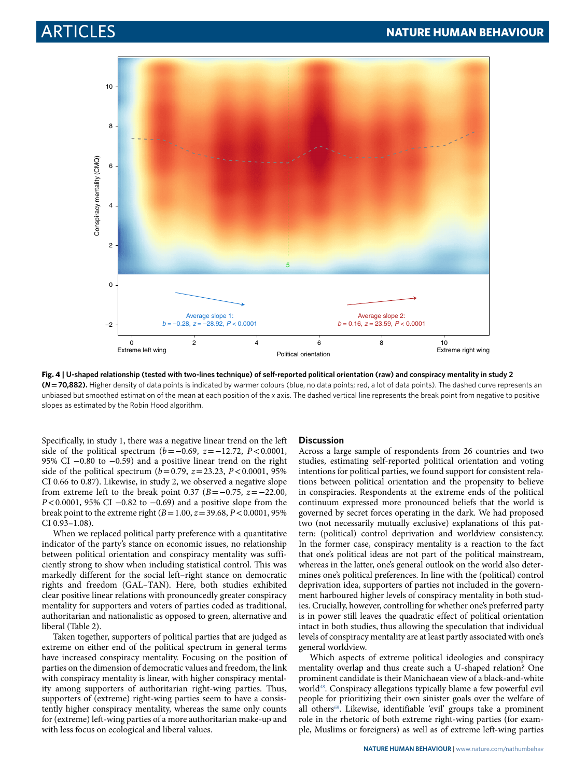

<span id="page-5-0"></span>**Fig. 4 | u-shaped relationship (tested with two-lines technique) of self-reported political orientation (raw) and conspiracy mentality in study 2 (***N***= 70,882).** Higher density of data points is indicated by warmer colours (blue, no data points; red, a lot of data points). The dashed curve represents an unbiased but smoothed estimation of the mean at each position of the *x* axis. The dashed vertical line represents the break point from negative to positive slopes as estimated by the Robin Hood algorithm.

Specifically, in study 1, there was a negative linear trend on the left side of the political spectrum ( $b=-0.69$ ,  $z=-12.72$ ,  $P<0.0001$ , 95% CI −0.80 to −0.59) and a positive linear trend on the right side of the political spectrum ( $b = 0.79$ ,  $z = 23.23$ ,  $P < 0.0001$ , 95% CI 0.66 to 0.87). Likewise, in study 2, we observed a negative slope from extreme left to the break point 0.37 ( $B = -0.75$ ,  $z = -22.00$ , P<0.0001, 95% CI −0.82 to −0.69) and a positive slope from the break point to the extreme right  $(B = 1.00, z = 39.68, P < 0.0001, 95\%)$ CI 0.93–1.08).

When we replaced political party preference with a quantitative indicator of the party's stance on economic issues, no relationship between political orientation and conspiracy mentality was sufficiently strong to show when including statistical control. This was markedly different for the social left–right stance on democratic rights and freedom (GAL–TAN). Here, both studies exhibited clear positive linear relations with pronouncedly greater conspiracy mentality for supporters and voters of parties coded as traditional, authoritarian and nationalistic as opposed to green, alternative and liberal (Table 2).

Taken together, supporters of political parties that are judged as extreme on either end of the political spectrum in general terms have increased conspiracy mentality. Focusing on the position of parties on the dimension of democratic values and freedom, the link with conspiracy mentality is linear, with higher conspiracy mentality among supporters of authoritarian right-wing parties. Thus, supporters of (extreme) right-wing parties seem to have a consistently higher conspiracy mentality, whereas the same only counts for (extreme) left-wing parties of a more authoritarian make-up and with less focus on ecological and liberal values.

#### **Discussion**

Across a large sample of respondents from 26 countries and two studies, estimating self-reported political orientation and voting intentions for political parties, we found support for consistent relations between political orientation and the propensity to believe in conspiracies. Respondents at the extreme ends of the political continuum expressed more pronounced beliefs that the world is governed by secret forces operating in the dark. We had proposed two (not necessarily mutually exclusive) explanations of this pattern: (political) control deprivation and worldview consistency. In the former case, conspiracy mentality is a reaction to the fact that one's political ideas are not part of the political mainstream, whereas in the latter, one's general outlook on the world also determines one's political preferences. In line with the (political) control deprivation idea, supporters of parties not included in the government harboured higher levels of conspiracy mentality in both studies. Crucially, however, controlling for whether one's preferred party is in power still leaves the quadratic effect of political orientation intact in both studies, thus allowing the speculation that individual levels of conspiracy mentality are at least partly associated with one's general worldview.

Which aspects of extreme political ideologies and conspiracy mentality overlap and thus create such a U-shaped relation? One prominent candidate is their Manichaean view of a black-and-white world<sup>[48](#page-10-26)</sup>. Conspiracy allegations typically blame a few powerful evil people for prioritizing their own sinister goals over the welfare of all others<sup>[69](#page-10-46)</sup>. Likewise, identifiable 'evil' groups take a prominent role in the rhetoric of both extreme right-wing parties (for example, Muslims or foreigners) as well as of extreme left-wing parties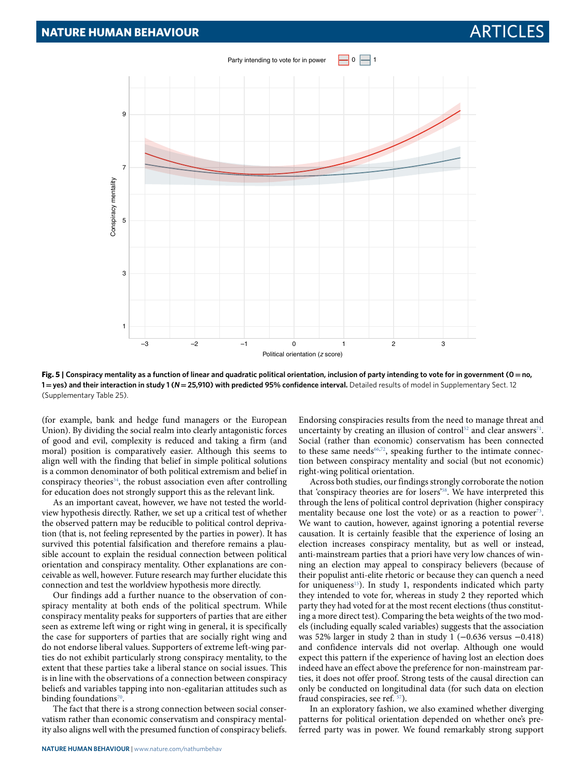

<span id="page-6-0"></span>**Fig. 5 | Conspiracy mentality as a function of linear and quadratic political orientation, inclusion of party intending to vote for in government (0 = no, 1 = yes) and their interaction in study 1 (***N***= 25,910) with predicted 95% confidence interval.** Detailed results of model in Supplementary Sect. 12 (Supplementary Table 25).

(for example, bank and hedge fund managers or the European Union). By dividing the social realm into clearly antagonistic forces of good and evil, complexity is reduced and taking a firm (and moral) position is comparatively easier. Although this seems to align well with the finding that belief in simple political solutions is a common denominator of both political extremism and belief in conspiracy theories<sup>[34](#page-10-17)</sup>, the robust association even after controlling for education does not strongly support this as the relevant link.

As an important caveat, however, we have not tested the worldview hypothesis directly. Rather, we set up a critical test of whether the observed pattern may be reducible to political control deprivation (that is, not feeling represented by the parties in power). It has survived this potential falsification and therefore remains a plausible account to explain the residual connection between political orientation and conspiracy mentality. Other explanations are conceivable as well, however. Future research may further elucidate this connection and test the worldview hypothesis more directly.

Our findings add a further nuance to the observation of conspiracy mentality at both ends of the political spectrum. While conspiracy mentality peaks for supporters of parties that are either seen as extreme left wing or right wing in general, it is specifically the case for supporters of parties that are socially right wing and do not endorse liberal values. Supporters of extreme left-wing parties do not exhibit particularly strong conspiracy mentality, to the extent that these parties take a liberal stance on social issues. This is in line with the observations of a connection between conspiracy beliefs and variables tapping into non-egalitarian attitudes such as binding foundations<sup>[70](#page-10-47)</sup>.

The fact that there is a strong connection between social conservatism rather than economic conservatism and conspiracy mentality also aligns well with the presumed function of conspiracy beliefs.

**NATuRE HuMAN BEHAVIOuR** | [www.nature.com/nathumbehav](http://www.nature.com/nathumbehav)

Endorsing conspiracies results from the need to manage threat and uncertainty by creating an illusion of control<sup>[52](#page-10-30)</sup> and clear answers<sup>[71](#page-10-48)</sup>. Social (rather than economic) conservatism has been connected to these same needs<sup>[66](#page-10-43),[72](#page-10-49)</sup>, speaking further to the intimate connection between conspiracy mentality and social (but not economic) right-wing political orientation.

Across both studies, our findings strongly corroborate the notion that 'conspiracy theories are for losers'[58](#page-10-35). We have interpreted this through the lens of political control deprivation (higher conspiracy mentality because one lost the vote) or as a reaction to power<sup>[73](#page-10-50)</sup>. We want to caution, however, against ignoring a potential reverse causation. It is certainly feasible that the experience of losing an election increases conspiracy mentality, but as well or instead, anti-mainstream parties that a priori have very low chances of winning an election may appeal to conspiracy believers (because of their populist anti-elite rhetoric or because they can quench a need for uniqueness<sup>[15](#page-10-1)</sup>). In study 1, respondents indicated which party they intended to vote for, whereas in study 2 they reported which party they had voted for at the most recent elections (thus constituting a more direct test). Comparing the beta weights of the two models (including equally scaled variables) suggests that the association was 52% larger in study 2 than in study 1 (−0.636 versus −0.418) and confidence intervals did not overlap. Although one would expect this pattern if the experience of having lost an election does indeed have an effect above the preference for non-mainstream parties, it does not offer proof. Strong tests of the causal direction can only be conducted on longitudinal data (for such data on election fraud conspiracies, see ref. [57](#page-10-34)).

In an exploratory fashion, we also examined whether diverging patterns for political orientation depended on whether one's preferred party was in power. We found remarkably strong support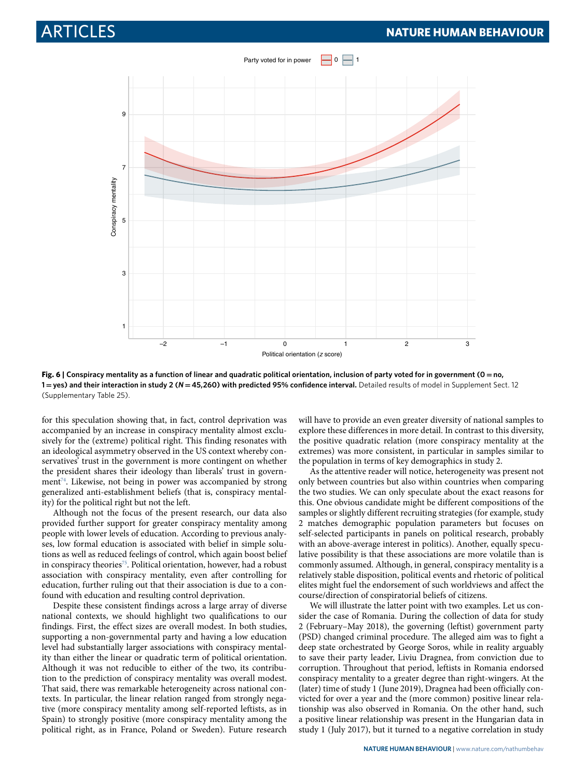

<span id="page-7-0"></span>**Fig. 6 | Conspiracy mentality as a function of linear and quadratic political orientation, inclusion of party voted for in government (0 = no, 1 = yes) and their interaction in study 2 (***N***= 45,260) with predicted 95% confidence interval.** Detailed results of model in Supplement Sect. 12 (Supplementary Table 25).

for this speculation showing that, in fact, control deprivation was accompanied by an increase in conspiracy mentality almost exclusively for the (extreme) political right. This finding resonates with an ideological asymmetry observed in the US context whereby conservatives' trust in the government is more contingent on whether the president shares their ideology than liberals' trust in govern-ment<sup>[74](#page-11-0)</sup>. Likewise, not being in power was accompanied by strong generalized anti-establishment beliefs (that is, conspiracy mentality) for the political right but not the left.

Although not the focus of the present research, our data also provided further support for greater conspiracy mentality among people with lower levels of education. According to previous analyses, low formal education is associated with belief in simple solutions as well as reduced feelings of control, which again boost belief in conspiracy theories<sup>[75](#page-11-1)</sup>. Political orientation, however, had a robust association with conspiracy mentality, even after controlling for education, further ruling out that their association is due to a confound with education and resulting control deprivation.

Despite these consistent findings across a large array of diverse national contexts, we should highlight two qualifications to our findings. First, the effect sizes are overall modest. In both studies, supporting a non-governmental party and having a low education level had substantially larger associations with conspiracy mentality than either the linear or quadratic term of political orientation. Although it was not reducible to either of the two, its contribution to the prediction of conspiracy mentality was overall modest. That said, there was remarkable heterogeneity across national contexts. In particular, the linear relation ranged from strongly negative (more conspiracy mentality among self-reported leftists, as in Spain) to strongly positive (more conspiracy mentality among the political right, as in France, Poland or Sweden). Future research will have to provide an even greater diversity of national samples to explore these differences in more detail. In contrast to this diversity, the positive quadratic relation (more conspiracy mentality at the extremes) was more consistent, in particular in samples similar to the population in terms of key demographics in study 2.

As the attentive reader will notice, heterogeneity was present not only between countries but also within countries when comparing the two studies. We can only speculate about the exact reasons for this. One obvious candidate might be different compositions of the samples or slightly different recruiting strategies (for example, study 2 matches demographic population parameters but focuses on self-selected participants in panels on political research, probably with an above-average interest in politics). Another, equally speculative possibility is that these associations are more volatile than is commonly assumed. Although, in general, conspiracy mentality is a relatively stable disposition, political events and rhetoric of political elites might fuel the endorsement of such worldviews and affect the course/direction of conspiratorial beliefs of citizens.

We will illustrate the latter point with two examples. Let us consider the case of Romania. During the collection of data for study 2 (February–May 2018), the governing (leftist) government party (PSD) changed criminal procedure. The alleged aim was to fight a deep state orchestrated by George Soros, while in reality arguably to save their party leader, Liviu Dragnea, from conviction due to corruption. Throughout that period, leftists in Romania endorsed conspiracy mentality to a greater degree than right-wingers. At the (later) time of study 1 (June 2019), Dragnea had been officially convicted for over a year and the (more common) positive linear relationship was also observed in Romania. On the other hand, such a positive linear relationship was present in the Hungarian data in study 1 (July 2017), but it turned to a negative correlation in study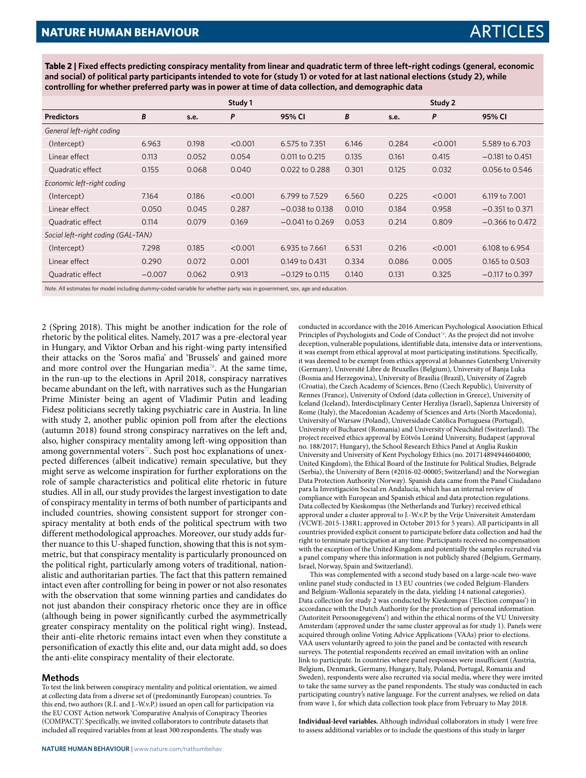**Table 2 | Fixed effects predicting conspiracy mentality from linear and quadratic term of three left–right codings (general, economic and social) of political party participants intended to vote for (study 1) or voted for at last national elections (study 2), while controlling for whether preferred party was in power at time of data collection, and demographic data**

|                                    |                                                                                                                           |       | Study 1 |                   |       |       | Study 2 |                   |
|------------------------------------|---------------------------------------------------------------------------------------------------------------------------|-------|---------|-------------------|-------|-------|---------|-------------------|
| <b>Predictors</b>                  | B                                                                                                                         | s.e.  | P       | 95% CI            | B     | s.e.  | P       | 95% CI            |
| General left-right coding          |                                                                                                                           |       |         |                   |       |       |         |                   |
| (Intercept)                        | 6.963                                                                                                                     | 0.198 | < 0.001 | 6.575 to 7.351    | 6.146 | 0.284 | < 0.001 | 5.589 to 6.703    |
| Linear effect                      | 0.113                                                                                                                     | 0.052 | 0.054   | 0.011 to 0.215    | 0.135 | 0.161 | 0.415   | $-0.181$ to 0.451 |
| Quadratic effect                   | 0.155                                                                                                                     | 0.068 | 0.040   | $0.022$ to 0.288  | 0.301 | 0.125 | 0.032   | 0.056 to 0.546    |
| Economic left-right coding         |                                                                                                                           |       |         |                   |       |       |         |                   |
| (Intercept)                        | 7.164                                                                                                                     | 0.186 | < 0.001 | 6.799 to 7.529    | 6.560 | 0.225 | < 0.001 | 6.119 to 7.001    |
| Linear effect                      | 0.050                                                                                                                     | 0.045 | 0.287   | $-0.038$ to 0.138 | 0.010 | 0.184 | 0.958   | $-0.351$ to 0.371 |
| Quadratic effect                   | 0.114                                                                                                                     | 0.079 | 0.169   | $-0.041$ to 0.269 | 0.053 | 0.214 | 0.809   | $-0.366$ to 0.472 |
| Social left-right coding (GAL-TAN) |                                                                                                                           |       |         |                   |       |       |         |                   |
| (Intercept)                        | 7.298                                                                                                                     | 0.185 | < 0.001 | 6.935 to 7.661    | 6.531 | 0.216 | < 0.001 | 6.108 to 6.954    |
| Linear effect                      | 0.290                                                                                                                     | 0.072 | 0.001   | 0.149 to 0.431    | 0.334 | 0.086 | 0.005   | 0.165 to 0.503    |
| Quadratic effect                   | $-0.007$                                                                                                                  | 0.062 | 0.913   | $-0.129$ to 0.115 | 0.140 | 0.131 | 0.325   | $-0.117$ to 0.397 |
|                                    | Note. All estimates for model including dummy-coded variable for whether party was in government, sex, age and education. |       |         |                   |       |       |         |                   |

2 (Spring 2018). This might be another indication for the role of rhetoric by the political elites. Namely, 2017 was a pre-electoral year in Hungary, and Viktor Orban and his right-wing party intensified their attacks on the 'Soros mafia' and 'Brussels' and gained more and more control over the Hungarian media<sup>[76](#page-11-2)</sup>. At the same time, in the run-up to the elections in April 2018, conspiracy narratives became abundant on the left, with narratives such as the Hungarian Prime Minister being an agent of Vladimir Putin and leading Fidesz politicians secretly taking psychiatric care in Austria. In line with study 2, another public opinion poll from after the elections (autumn 2018) found strong conspiracy narratives on the left and, also, higher conspiracy mentality among left-wing opposition than among governmental voters<sup>[77](#page-11-3)</sup>. Such post hoc explanations of unexpected differences (albeit indicative) remain speculative, but they might serve as welcome inspiration for further explorations on the role of sample characteristics and political elite rhetoric in future studies. All in all, our study provides the largest investigation to date of conspiracy mentality in terms of both number of participants and included countries, showing consistent support for stronger conspiracy mentality at both ends of the political spectrum with two different methodological approaches. Moreover, our study adds further nuance to this U-shaped function, showing that this is not symmetric, but that conspiracy mentality is particularly pronounced on the political right, particularly among voters of traditional, nationalistic and authoritarian parties. The fact that this pattern remained intact even after controlling for being in power or not also resonates with the observation that some winning parties and candidates do not just abandon their conspiracy rhetoric once they are in office (although being in power significantly curbed the asymmetrically greater conspiracy mentality on the political right wing). Instead, their anti-elite rhetoric remains intact even when they constitute a personification of exactly this elite and, our data might add, so does the anti-elite conspiracy mentality of their electorate.

#### **Methods**

To test the link between conspiracy mentality and political orientation, we aimed at collecting data from a diverse set of (predominantly European) countries. To this end, two authors (R.I. and J.-W.v.P.) issued an open call for participation via the EU COST Action network 'Comparative Analysis of Conspiracy Theories (COMPACT)'. Specifically, we invited collaborators to contribute datasets that included all required variables from at least 300 respondents. The study was

conducted in accordance with the 2016 American Psychological Association Ethical Principles of Psychologists and Code of Conduct<sup>[78](#page-11-4)</sup>. As the project did not involve deception, vulnerable populations, identifiable data, intensive data or interventions, it was exempt from ethical approval at most participating institutions. Specifically, it was deemed to be exempt from ethics approval at Johannes Gutenberg University (Germany), Université Libre de Bruxelles (Belgium), University of Banja Luka (Bosnia and Herzegovina), University of Brasília (Brazil), University of Zagreb (Croatia), the Czech Academy of Sciences, Brno (Czech Republic), University of Rennes (France), University of Oxford (data collection in Greece), University of Iceland (Iceland), Interdisciplinary Center Herzliya (Israel), Sapienza University of Rome (Italy), the Macedonian Academy of Sciences and Arts (North Macedonia), University of Warsaw (Poland), Universidade Católica Portuguesa (Portugal), University of Bucharest (Romania) and University of Neuchâtel (Switzerland). The project received ethics approval by Eötvös Loránd University, Budapest (approval no. 188/2017; Hungary), the School Research Ethics Panel at Anglia Ruskin University and University of Kent Psychology Ethics (no. 201714894944604000; United Kingdom), the Ethical Board of the Institute for Political Studies, Belgrade (Serbia), the University of Bern (#2016-02-00005; Switzerland) and the Norwegian Data Protection Authority (Norway). Spanish data came from the Panel Ciudadano para la Investigación Social en Andalucía, which has an internal review of compliance with European and Spanish ethical and data protection regulations. Data collected by Kieskompas (the Netherlands and Turkey) received ethical approval under a cluster approval to J.-W.v.P. by the Vrije Universiteit Amsterdam (VCWE-2015-138R1; approved in October 2015 for 5 years). All participants in all countries provided explicit consent to participate before data collection and had the right to terminate participation at any time. Participants received no compensation with the exception of the United Kingdom and potentially the samples recruited via a panel company where this information is not publicly shared (Belgium, Germany, Israel, Norway, Spain and Switzerland).

This was complemented with a second study based on a large-scale two-wave online panel study conducted in 13 EU countries (we coded Belgium-Flanders and Belgium-Wallonia separately in the data, yielding 14 national categories). Data collection for study 2 was conducted by Kieskompas ('Election compass') in accordance with the Dutch Authority for the protection of personal information ('Autoriteit Persoonsgegevens') and within the ethical norms of the VU University Amsterdam (approved under the same cluster approval as for study 1). Panels were acquired through online Voting Advice Applications (VAAs) prior to elections. VAA users voluntarily agreed to join the panel and be contacted with research surveys. The potential respondents received an email invitation with an online link to participate. In countries where panel responses were insufficient (Austria, Belgium, Denmark, Germany, Hungary, Italy, Poland, Portugal, Romania and Sweden), respondents were also recruited via social media, where they were invited to take the same survey as the panel respondents. The study was conducted in each participating country's native language. For the current analyses, we relied on data from wave 1, for which data collection took place from February to May 2018.

**Individual-level variables.** Although individual collaborators in study 1 were free to assess additional variables or to include the questions of this study in larger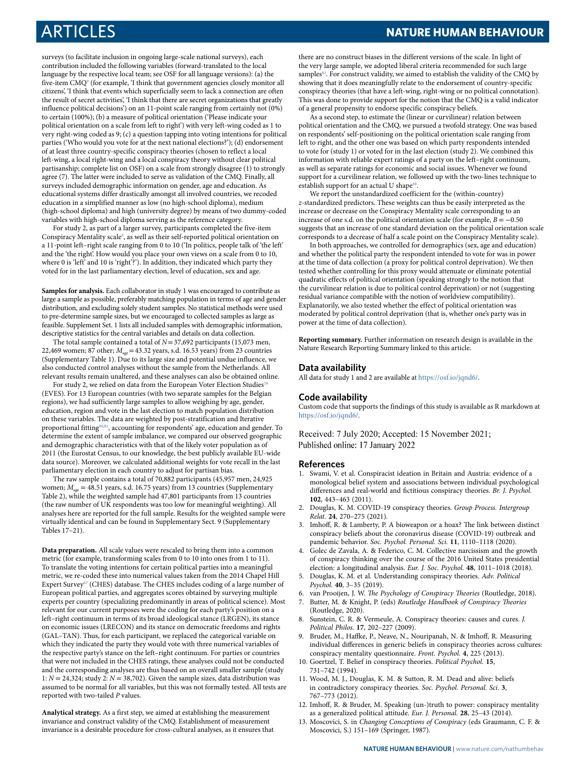ARTICLES **NATURE HUMAN BEHAVIOUR**

surveys (to facilitate inclusion in ongoing large-scale national surveys), each contribution included the following variables (forward-translated to the local language by the respective local team; see OSF for all language versions): (a) the five-item CMQ<sup>[9](#page-9-8)</sup> (for example, 'I think that government agencies closely monitor all citizens', 'I think that events which superficially seem to lack a connection are often the result of secret activities', 'I think that there are secret organizations that greatly influence political decisions') on an 11-point scale ranging from certainly not (0%) to certain (100%); (b) a measure of political orientation ('Please indicate your political orientation on a scale from left to right') with very left-wing coded as 1 to very right-wing coded as 9; (c) a question tapping into voting intentions for political parties ('Who would you vote for at the next national elections?'); (d) endorsement of at least three country-specific conspiracy theories (chosen to reflect a local left-wing, a local right-wing and a local conspiracy theory without clear political partisanship; complete list on OSF) on a scale from strongly disagree (1) to strongly agree (7). The latter were included to serve as validation of the CMQ. Finally, all surveys included demographic information on gender, age and education. As educational systems differ drastically amongst all involved countries, we recoded education in a simplified manner as low (no high-school diploma), medium (high-school diploma) and high (university degree) by means of two dummy-coded variables with high-school diploma serving as the reference category.

For study 2, as part of a larger survey, participants completed the five-item Conspiracy Mentality scale<sup>[9](#page-9-8)</sup>, as well as their self-reported political orientation on a 11-point left–right scale ranging from 0 to 10 ('In politics, people talk of 'the left' and the 'the right'. How would you place your own views on a scale from 0 to 10, where 0 is 'left' and 10 is 'right'?'). In addition, they indicated which party they voted for in the last parliamentary election, level of education, sex and age.

**Samples for analysis.** Each collaborator in study 1 was encouraged to contribute as large a sample as possible, preferably matching population in terms of age and gender distribution, and excluding solely student samples. No statistical methods were used to pre-determine sample sizes, but we encouraged to collected samples as large as feasible. Supplement Set. 1 lists all included samples with demographic information, descriptive statistics for the central variables and details on data collection.

The total sample contained a total of  $N= 37,692$  participants (15,073 men, 22,469 women; 87 other;  $M_{\text{age}}$  = 43.32 years, s.d. 16.53 years) from 23 countries (Supplementary Table 1). Due to its large size and potential undue influence, we also conducted control analyses without the sample from the Netherlands. All relevant results remain unaltered, and these analyses can also be obtained online.

For study 2, we relied on data from the European Voter Election Studies<sup>7</sup> (EVES). For 13 European countries (with two separate samples for the Belgian regions), we had sufficiently large samples to allow weighing by age, gender, education, region and vote in the last election to match population distribution on these variables. The data are weighted by post-stratification and Iterative proportional fitting<sup>[80,](#page-11-6)[81](#page-11-7)</sup>, accounting for respondents' age, education and gender. To determine the extent of sample imbalance, we compared our observed geographic and demographic characteristics with that of the likely voter population as of 2011 (the Eurostat Census, to our knowledge, the best publicly available EU-wide data source). Moreover, we calculated additional weights for vote recall in the last parliamentary election in each country to adjust for partisan bias.

The raw sample contains a total of 70,882 participants (45,957 men, 24,925 women;  $M_{\text{acc}} = 48.51$  years, s.d. 16.75 years) from 13 countries (Supplementary Table 2), while the weighted sample had 47,801 participants from 13 countries (the raw number of UK respondents was too low for meaningful weighting). All analyses here are reported for the full sample. Results for the weighted sample were virtually identical and can be found in Supplementary Sect. 9 (Supplementary Tables 17–21).

**Data preparation.** All scale values were rescaled to bring them into a common metric (for example, transforming scales from 0 to 10 into ones from 1 to 11). To translate the voting intentions for certain political parties into a meaningful metric, we re-coded these into numerical values taken from the 2014 Chapel Hill Expert Survey<sup>[67](#page-10-44)</sup> (CHES) database. The CHES includes coding of a large number of European political parties, and aggregates scores obtained by surveying multiple experts per country (specializing predominantly in areas of political science). Most relevant for our current purposes were the coding for each party's position on a left–right continuum in terms of its broad ideological stance (LRGEN), its stance on economic issues (LRECON) and its stance on democratic freedoms and rights (GAL–TAN). Thus, for each participant, we replaced the categorical variable on which they indicated the party they would vote with three numerical variables of the respective party's stance on the left–right continuum. For parties or countries that were not included in the CHES ratings, these analyses could not be conducted and the corresponding analyses are thus based on an overall smaller sample (study 1:  $N = 24,324$ ; study 2:  $N = 38,702$ ). Given the sample sizes, data distribution was assumed to be normal for all variables, but this was not formally tested. All tests are reported with two-tailed P values.

**Analytical strategy.** As a first step, we aimed at establishing the measurement invariance and construct validity of the CMQ. Establishment of measurement invariance is a desirable procedure for cross-cultural analyses, as it ensures that there are no construct biases in the different versions of the scale. In light of the very large sample, we adopted liberal criteria recommended for such large samples<sup>[82](#page-11-8)</sup>. For construct validity, we aimed to establish the validity of the CMQ by showing that it does meaningfully relate to the endorsement of country-specific conspiracy theories (that have a left-wing, right-wing or no political connotation). This was done to provide support for the notion that the CMQ is a valid indicator of a general propensity to endorse specific conspiracy beliefs.

As a second step, to estimate the (linear or curvilinear) relation between political orientation and the CMQ, we pursued a twofold strategy. One was based on respondents' self-positioning on the political orientation scale ranging from left to right, and the other one was based on which party respondents intended to vote for (study 1) or voted for in the last election (study 2). We combined this information with reliable expert ratings of a party on the left–right continuum, as well as separate ratings for economic and social issues. Whenever we found support for a curvilinear relation, we followed up with the two-lines technique to establish support for an actual U shape<sup>[68](#page-10-45)</sup> .

We report the unstandardized coefficient for the (within-country) z-standardized predictors. These weights can thus be easily interpreted as the increase or decrease on the Conspiracy Mentality scale corresponding to an increase of one s.d. on the political orientation scale (for example,  $B = -0.50$ suggests that an increase of one standard deviation on the political orientation scale corresponds to a decrease of half a scale point on the Conspiracy Mentality scale).

In both approaches, we controlled for demographics (sex, age and education) and whether the political party the respondent intended to vote for was in power at the time of data collection (a proxy for political control deprivation). We then tested whether controlling for this proxy would attenuate or eliminate potential quadratic effects of political orientation (speaking strongly to the notion that the curvilinear relation is due to political control deprivation) or not (suggesting residual variance compatible with the notion of worldview compatibility). Explanatorily, we also tested whether the effect of political orientation was moderated by political control deprivation (that is, whether one's party was in power at the time of data collection).

**Reporting summary.** Further information on research design is available in the Nature Research Reporting Summary linked to this article.

#### **Data availability**

All data for study 1 and 2 are available at [https://osf.io/jqnd6/.](https://osf.io/jqnd6/)

#### **Code availability**

Custom code that supports the findings of this study is available as R markdown at <https://osf.io/jqnd6/>.

Received: 7 July 2020; Accepted: 15 November 2021; Published online: 17 January 2022

#### **References**

- <span id="page-9-0"></span> 1. Swami, V. et al. Conspiracist ideation in Britain and Austria: evidence of a monological belief system and associations between individual psychological differences and real-world and fictitious conspiracy theories. Br. J. Psychol. **102**, 443–463 (2011).
- <span id="page-9-1"></span> 2. Douglas, K. M. COVID-19 conspiracy theories. Group Process. Intergroup Relat. **24**, 270–275 (2021).
- <span id="page-9-2"></span> 3. Imhoff, R. & Lamberty, P. A bioweapon or a hoax? The link between distinct conspiracy beliefs about the coronavirus disease (COVID-19) outbreak and pandemic behavior. Soc. Psychol. Personal. Sci. **11**, 1110–1118 (2020).
- <span id="page-9-3"></span> 4. Golec de Zavala, A. & Federico, C. M. Collective narcissism and the growth of conspiracy thinking over the course of the 2016 United States presidential election: a longitudinal analysis. Eur. J. Soc. Psychol. **48**, 1011–1018 (2018).
- <span id="page-9-4"></span> 5. Douglas, K. M. et al. Understanding conspiracy theories. Adv. Political Psychol. **40**, 3–35 (2019).
- <span id="page-9-5"></span>6. van Prooijen, J. W. The Psychology of Conspiracy Theories (Routledge, 2018).
- <span id="page-9-6"></span> 7. Butter, M. & Knight, P. (eds) Routledge Handbook of Conspiracy Theories (Routledge, 2020).
- <span id="page-9-7"></span>Sunstein, C. R. & Vermeule, A. Conspiracy theories: causes and cures. J. Political Philos. **17**, 202–227 (2009).
- <span id="page-9-8"></span> 9. Bruder, M., Haffke, P., Neave, N., Nouripanah, N. & Imhoff, R. Measuring individual differences in generic beliefs in conspiracy theories across cultures: conspiracy mentality questionnaire. Front. Psychol. **4**, 225 (2013).
- 10. Goertzel, T. Belief in conspiracy theories. Political Psychol. **15**, 731–742 (1994).
- <span id="page-9-9"></span> 11. Wood, M. J., Douglas, K. M. & Sutton, R. M. Dead and alive: beliefs in contradictory conspiracy theories. Soc. Psychol. Personal. Sci. **3**, 767–773 (2012).
- <span id="page-9-10"></span> 12. Imhoff, R. & Bruder, M. Speaking (un-)truth to power: conspiracy mentality as a generalized political attitude. Eur. J. Personal. **28**, 25–43 (2014).
- 13. Moscovici, S. in Changing Conceptions of Conspiracy (eds Graumann, C. F. & Moscovici, S.) 151–169 (Springer, 1987).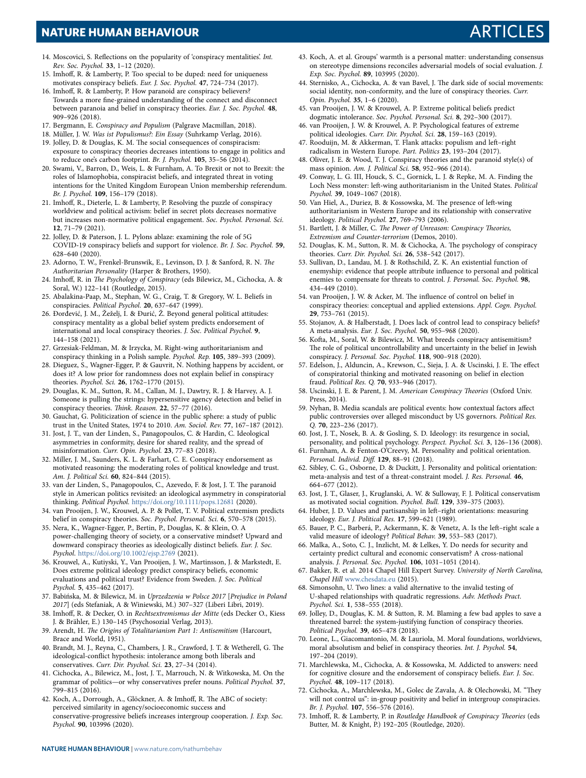### **NATURE HUMAN BEHAVIOUR** ARTICLES

- <span id="page-10-0"></span> 14. Moscovici, S. Reflections on the popularity of 'conspiracy mentalities'. Int. Rev. Soc. Psychol. **33**, 1–12 (2020).
- <span id="page-10-1"></span> 15. Imhoff, R. & Lamberty, P. Too special to be duped: need for uniqueness motivates conspiracy beliefs. Eur. J. Soc. Psychol. **47**, 724–734 (2017).
- <span id="page-10-2"></span> 16. Imhoff, R. & Lamberty, P. How paranoid are conspiracy believers? Towards a more fine-grained understanding of the connect and disconnect between paranoia and belief in conspiracy theories. Eur. J. Soc. Psychol. **48**, 909–926 (2018).
- <span id="page-10-3"></span>17. Bergmann, E. Conspiracy and Populism (Palgrave Macmillan, 2018).
- <span id="page-10-5"></span><span id="page-10-4"></span> 18. Müller, J. W. Was ist Populismus?: Ein Essay (Suhrkamp Verlag, 2016). 19. Jolley, D. & Douglas, K. M. The social consequences of conspiracism:
- exposure to conspiracy theories decreases intentions to engage in politics and to reduce one's carbon footprint. Br. J. Psychol. **105**, 35–56 (2014).
- <span id="page-10-6"></span> 20. Swami, V., Barron, D., Weis, L. & Furnham, A. To Brexit or not to Brexit: the roles of Islamophobia, conspiracist beliefs, and integrated threat in voting intentions for the United Kingdom European Union membership referendum. Br. J. Psychol. **109**, 156–179 (2018).
- <span id="page-10-7"></span> 21. Imhoff, R., Dieterle, L. & Lamberty, P. Resolving the puzzle of conspiracy worldview and political activism: belief in secret plots decreases normative but increases non-normative political engagement. Soc. Psychol. Personal. Sci. **12**, 71–79 (2021).
- <span id="page-10-8"></span> 22. Jolley, D. & Paterson, J. L. Pylons ablaze: examining the role of 5G COVID‐19 conspiracy beliefs and support for violence. Br. J. Soc. Psychol. **59**, 628–640 (2020).
- <span id="page-10-9"></span> 23. Adorno, T. W., Frenkel-Brunswik, E., Levinson, D. J. & Sanford, R. N. The Authoritarian Personality (Harper & Brothers, 1950).
- <span id="page-10-10"></span> 24. Imhoff, R. in The Psychology of Conspiracy (eds Bilewicz, M., Cichocka, A. & Soral, W.) 122–141 (Routledge, 2015).
- <span id="page-10-11"></span> 25. Abalakina‐Paap, M., Stephan, W. G., Craig, T. & Gregory, W. L. Beliefs in conspiracies. Political Psychol. **20**, 637–647 (1999).
- 26. Đorđević, J. M., Žeželj, I. & Đurić, Ž. Beyond general political attitudes: conspiracy mentality as a global belief system predicts endorsement of international and local conspiracy theories. J. Soc. Political Psychol. **9**, 144–158 (2021).
- <span id="page-10-12"></span> 27. Grzesiak-Feldman, M. & Irzycka, M. Right-wing authoritarianism and conspiracy thinking in a Polish sample. Psychol. Rep. **105**, 389–393 (2009).
- <span id="page-10-13"></span> 28. Dieguez, S., Wagner-Egger, P. & Gauvrit, N. Nothing happens by accident, or does it? A low prior for randomness does not explain belief in conspiracy theories. Psychol. Sci. **26**, 1762–1770 (2015).
- <span id="page-10-14"></span> 29. Douglas, K. M., Sutton, R. M., Callan, M. J., Dawtry, R. J. & Harvey, A. J. Someone is pulling the strings: hypersensitive agency detection and belief in conspiracy theories. Think. Reason. **22**, 57–77 (2016).
- <span id="page-10-15"></span> 30. Gauchat, G. Politicization of science in the public sphere: a study of public trust in the United States, 1974 to 2010. Am. Sociol. Rev. **77**, 167–187 (2012).
- 31. Jost, J. T., van der Linden, S., Panagopoulos, C. & Hardin, C. Ideological asymmetries in conformity, desire for shared reality, and the spread of misinformation. Curr. Opin. Psychol. **23**, 77–83 (2018).
- 32. Miller, J. M., Saunders, K. L. & Farhart, C. E. Conspiracy endorsement as motivated reasoning: the moderating roles of political knowledge and trust. Am. J. Political Sci. **60**, 824–844 (2015).
- <span id="page-10-16"></span> 33. van der Linden, S., Panagopoulos, C., Azevedo, F. & Jost, J. T. The paranoid style in American politics revisited: an ideological asymmetry in conspiratorial thinking. Political Psychol. <https://doi.org/10.1111/pops.12681> (2020).
- <span id="page-10-17"></span> 34. van Prooijen, J. W., Krouwel, A. P. & Pollet, T. V. Political extremism predicts belief in conspiracy theories. Soc. Psychol. Personal. Sci. **6**, 570–578 (2015).
- <span id="page-10-18"></span> 35. Nera, K., Wagner-Egger, P., Bertin, P., Douglas, K. & Klein, O. A power-challenging theory of society, or a conservative mindset? Upward and downward conspiracy theories as ideologically distinct beliefs. Eur. J. Soc. Psychol. <https://doi.org/10.1002/ejsp.2769> (2021).
- <span id="page-10-19"></span> 36. Krouwel, A., Kutiyski, Y., Van Prooijen, J. W., Martinsson, J. & Markstedt, E. Does extreme political ideology predict conspiracy beliefs, economic evaluations and political trust? Evidence from Sweden. J. Soc. Political Psychol. **5**, 435–462 (2017).
- <span id="page-10-20"></span> 37. Babińska, M. & Bilewicz, M. in Uprzedzenia w Polsce 2017 [Prejudice in Poland 2017] (eds Stefaniak, A & Winiewski, M.) 307–327 (Liberi Libri, 2019).
- <span id="page-10-21"></span> 38. Imhoff, R. & Decker, O. in Rechtsextremismus der Mitte (eds Decker O., Kiess J. & Brähler, E.) 130–145 (Psychosozial Verlag, 2013).
- <span id="page-10-22"></span> 39. Arendt, H. The Origins of Totalitarianism Part 1: Antisemitism (Harcourt, Brace and World, 1951).
- <span id="page-10-23"></span> 40. Brandt, M. J., Reyna, C., Chambers, J. R., Crawford, J. T. & Wetherell, G. The ideological-conflict hypothesis: intolerance among both liberals and conservatives. Curr. Dir. Psychol. Sci. **23**, 27–34 (2014).
- 41. Cichocka, A., Bilewicz, M., Jost, J. T., Marrouch, N. & Witkowska, M. On the grammar of politics—or why conservatives prefer nouns. Political Psychol. **37**, 799–815 (2016).
- 42. Koch, A., Dorrough, A., Glöckner, A. & Imhoff, R. The ABC of society: perceived similarity in agency/socioeconomic success and conservative-progressive beliefs increases intergroup cooperation. J. Exp. Soc. Psychol. **90**, 103996 (2020).
- 43. Koch, A. et al. Groups' warmth is a personal matter: understanding consensus on stereotype dimensions reconciles adversarial models of social evaluation. J. Exp. Soc. Psychol. **89**, 103995 (2020).
- 44. Sternisko, A., Cichocka, A. & van Bavel, J. The dark side of social movements: social identity, non-conformity, and the lure of conspiracy theories. Curr. Opin. Psychol. **35**, 1–6 (2020).
- 45. van Prooijen, J. W. & Krouwel, A. P. Extreme political beliefs predict dogmatic intolerance. Soc. Psychol. Personal. Sci. **8**, 292–300 (2017).
- <span id="page-10-24"></span> 46. van Prooijen, J. W. & Krouwel, A. P. Psychological features of extreme political ideologies. Curr. Dir. Psychol. Sci. **28**, 159–163 (2019).
- <span id="page-10-25"></span> 47. Rooduijn, M. & Akkerman, T. Flank attacks: populism and left–right radicalism in Western Europe. Part. Politics **23**, 193–204 (2017).
- <span id="page-10-26"></span> 48. Oliver, J. E. & Wood, T. J. Conspiracy theories and the paranoid style(s) of mass opinion. Am. J. Political Sci. **58**, 952–966 (2014).
- <span id="page-10-27"></span> 49. Conway, L. G. III, Houck, S. C., Gornick, L. J. & Repke, M. A. Finding the Loch Ness monster: left-wing authoritarianism in the United States. Political Psychol. **39**, 1049–1067 (2018).
- <span id="page-10-28"></span> 50. Van Hiel, A., Duriez, B. & Kossowska, M. The presence of left‐wing authoritarianism in Western Europe and its relationship with conservative ideology. Political Psychol. **27**, 769–793 (2006).
- <span id="page-10-29"></span> 51. Bartlett, J. & Miller, C. The Power of Unreason: Conspiracy Theories, Extremism and Counter-terrorism (Demos, 2010).
- <span id="page-10-30"></span> 52. Douglas, K. M., Sutton, R. M. & Cichocka, A. The psychology of conspiracy theories. Curr. Dir. Psychol. Sci. **26**, 538–542 (2017).
- 53. Sullivan, D., Landau, M. J. & Rothschild, Z. K. An existential function of enemyship: evidence that people attribute influence to personal and political enemies to compensate for threats to control. J. Personal. Soc. Psychol. **98**, 434–449 (2010).
- <span id="page-10-31"></span> 54. van Prooijen, J. W. & Acker, M. The influence of control on belief in conspiracy theories: conceptual and applied extensions. Appl. Cogn. Psychol. **29**, 753–761 (2015).
- <span id="page-10-32"></span> 55. Stojanov, A. & Halberstadt, J. Does lack of control lead to conspiracy beliefs? A meta‐analysis. Eur. J. Soc. Psychol. **50**, 955–968 (2020).
- <span id="page-10-33"></span> 56. Kofta, M., Soral, W. & Bilewicz, M. What breeds conspiracy antisemitism? The role of political uncontrollability and uncertainty in the belief in Jewish conspiracy. J. Personal. Soc. Psychol. **118**, 900–918 (2020).
- <span id="page-10-34"></span> 57. Edelson, J., Alduncin, A., Krewson, C., Sieja, J. A. & Uscinski, J. E. The effect of conspiratorial thinking and motivated reasoning on belief in election fraud. Political Res. Q. **70**, 933–946 (2017).
- <span id="page-10-35"></span> 58. Uscinski, J. E. & Parent, J. M. American Conspiracy Theories (Oxford Univ. Press, 2014).
- <span id="page-10-36"></span> 59. Nyhan, B. Media scandals are political events: how contextual factors affect public controversies over alleged misconduct by US governors. Political Res. Q. **70**, 223–236 (2017).
- <span id="page-10-37"></span> 60. Jost, J. T., Nosek, B. A. & Gosling, S. D. Ideology: its resurgence in social, personality, and political psychology. Perspect. Psychol. Sci. **3**, 126–136 (2008).
- <span id="page-10-38"></span> 61. Furnham, A. & Fenton-O'Creevy, M. Personality and political orientation. Personal. Individ. Diff. **129**, 88–91 (2018).
- <span id="page-10-39"></span> 62. Sibley, C. G., Osborne, D. & Duckitt, J. Personality and political orientation: meta-analysis and test of a threat-constraint model. J. Res. Personal. **46**, 664–677 (2012).
- <span id="page-10-40"></span> 63. Jost, J. T., Glaser, J., Kruglanski, A. W. & Sulloway, F. J. Political conservatism as motivated social cognition. Psychol. Bull. **129**, 339–375 (2003).
- <span id="page-10-41"></span> 64. Huber, J. D. Values and partisanship in left–right orientations: measuring ideology. Eur. J. Political Res. **17**, 599–621 (1989).
- <span id="page-10-42"></span> 65. Bauer, P. C., Barberá, P., Ackermann, K. & Venetz, A. Is the left–right scale a valid measure of ideology? Political Behav. **39**, 553–583 (2017).
- <span id="page-10-43"></span> 66. Malka, A., Soto, C. J., Inzlicht, M. & Lelkes, Y. Do needs for security and certainty predict cultural and economic conservatism? A cross-national analysis. J. Personal. Soc. Psychol. **106**, 1031–1051 (2014).
- <span id="page-10-44"></span> 67. Bakker, R. et al. 2014 Chapel Hill Expert Survey. University of North Carolina, Chapel Hill [www.chesdata.eu](http://www.chesdata.eu) (2015).
- <span id="page-10-45"></span> 68. Simonsohn, U. Two lines: a valid alternative to the invalid testing of U-shaped relationships with quadratic regressions. Adv. Methods Pract. Psychol. Sci. **1**, 538–555 (2018).
- <span id="page-10-46"></span> 69. Jolley, D., Douglas, K. M. & Sutton, R. M. Blaming a few bad apples to save a threatened barrel: the system‐justifying function of conspiracy theories. Political Psychol. **39**, 465–478 (2018).
- <span id="page-10-47"></span> 70. Leone, L., Giacomantonio, M. & Lauriola, M. Moral foundations, worldviews, moral absolutism and belief in conspiracy theories. Int. J. Psychol. **54**, 197–204 (2019).
- <span id="page-10-48"></span> 71. Marchlewska, M., Cichocka, A. & Kossowska, M. Addicted to answers: need for cognitive closure and the endorsement of conspiracy beliefs. Eur. J. Soc. Psychol. **48**, 109–117 (2018).
- <span id="page-10-49"></span> 72. Cichocka, A., Marchlewska, M., Golec de Zavala, A. & Olechowski, M. "They will not control us": in-group positivity and belief in intergroup conspiracies. Br. J. Psychol. **107**, 556–576 (2016).
- <span id="page-10-50"></span> 73. Imhoff, R. & Lamberty, P. in Routledge Handbook of Conspiracy Theories (eds Butter, M. & Knight, P.) 192–205 (Routledge, 2020).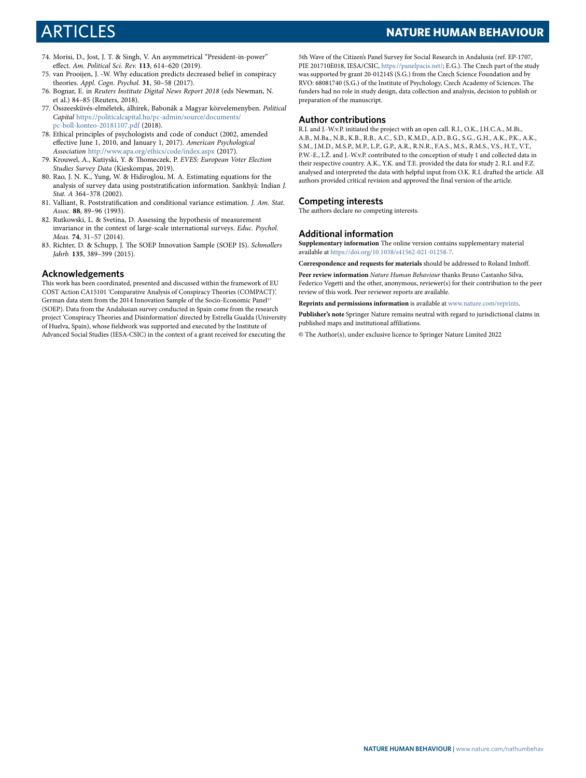## ARTICLES **NATURE HUMAN BEHAVIOUR**

- <span id="page-11-0"></span> 74. Morisi, D., Jost, J. T. & Singh, V. An asymmetrical "President-in-power" effect. Am. Political Sci. Rev. **113**, 614–620 (2019).
- <span id="page-11-1"></span> 75. van Prooijen, J. ‐W. Why education predicts decreased belief in conspiracy theories. Appl. Cogn. Psychol. **31**, 50–58 (2017).
- <span id="page-11-2"></span> 76. Bognar, E. in Reuters Institute Digital News Report 2018 (eds Newman, N. et al.) 84–85 (Reuters, 2018).
- <span id="page-11-3"></span> 77. Összeesküvés-elméletek, álhírek, Babonák a Magyar közvelemenyben. Political Capital [https://politicalcapital.hu/pc-admin/source/documents/](https://politicalcapital.hu/pc-admin/source/documents/pc-boll-konteo-20181107.pdf) [pc-boll-konteo-20181107.pdf](https://politicalcapital.hu/pc-admin/source/documents/pc-boll-konteo-20181107.pdf) (2018).
- <span id="page-11-4"></span> 78. Ethical principles of psychologists and code of conduct (2002, amended effective June 1, 2010, and January 1, 2017). American Psychological Association <http://www.apa.org/ethics/code/index.aspx> (2017).
- <span id="page-11-5"></span> 79. Krouwel, A., Kutiyski, Y. & Thomeczek, P. EVES: European Voter Election Studies Survey Data (Kieskompas, 2019).
- <span id="page-11-6"></span> 80. Rao, J. N. K., Yung, W. & Hidiroglou, M. A. Estimating equations for the analysis of survey data using poststratification information. Sankhyā: Indian J. Stat. A 364–378 (2002).
- <span id="page-11-7"></span> 81. Valliant, R. Poststratification and conditional variance estimation. J. Am. Stat. Assoc. **88**, 89–96 (1993).
- <span id="page-11-8"></span> 82. Rutkowski, L. & Svetina, D. Assessing the hypothesis of measurement invariance in the context of large-scale international surveys. Educ. Psychol. Meas. **74**, 31–57 (2014).
- <span id="page-11-9"></span> 83. Richter, D. & Schupp, J. The SOEP Innovation Sample (SOEP IS). Schmollers Jahrb. **135**, 389–399 (2015).

#### **Acknowledgements**

This work has been coordinated, presented and discussed within the framework of EU COST Action CA15101 'Comparative Analysis of Conspiracy Theories (COMPACT)'. German data stem from the 2014 Innovation Sample of the Socio-Economic Panel (SOEP). Data from the Andalusian survey conducted in Spain come from the research project 'Conspiracy Theories and Disinformation' directed by Estrella Gualda (University of Huelva, Spain), whose fieldwork was supported and executed by the Institute of Advanced Social Studies (IESA-CSIC) in the context of a grant received for executing the 5th Wave of the Citizen's Panel Survey for Social Research in Andalusia (ref. EP-1707, PIE 201710E018, IESA/CSIC, <https://panelpacis.net/>; E.G.). The Czech part of the study was supported by grant 20-01214S (S.G.) from the Czech Science Foundation and by RVO: 68081740 (S.G.) of the Institute of Psychology, Czech Academy of Sciences. The funders had no role in study design, data collection and analysis, decision to publish or preparation of the manuscript.

#### **Author contributions**

R.I. and J.-W.v.P. initiated the project with an open call. R.I., O.K., J.H.C.A., M.Bi., A.B., M.Ba., N.B., K.B., R.B., A.C., S.D., K.M.D., A.D., B.G., S.G., G.H., A.K., P.K., A.K., S.M., J.M.D., M.S.P., M.P., L.P., G.P., A.R., R.N.R., F.A.S., M.S., R.M.S., V.S., H.T., V.T., P.W.-E., I.Ž. and J.-W.v.P. contributed to the conception of study 1 and collected data in their respective country. A.K., Y.K. and T.E. provided the data for study 2. R.I. and F.Z. analysed and interpreted the data with helpful input from O.K. R.I. drafted the article. All authors provided critical revision and approved the final version of the article.

#### **Competing interests**

The authors declare no competing interests.

#### **Additional information**

**Supplementary information** The online version contains supplementary material available at [https://doi.org/10.1038/s41562-021-01258-7.](https://doi.org/10.1038/s41562-021-01258-7)

**Correspondence and requests for materials** should be addressed to Roland Imhoff.

**Peer review information** Nature Human Behaviour thanks Bruno Castanho Silva, Federico Vegetti and the other, anonymous, reviewer(s) for their contribution to the peer review of this work. Peer reviewer reports are available.

**Reprints and permissions information** is available at [www.nature.com/reprints](http://www.nature.com/reprints).

**Publisher's note** Springer Nature remains neutral with regard to jurisdictional claims in published maps and institutional affiliations.

© The Author(s), under exclusive licence to Springer Nature Limited 2022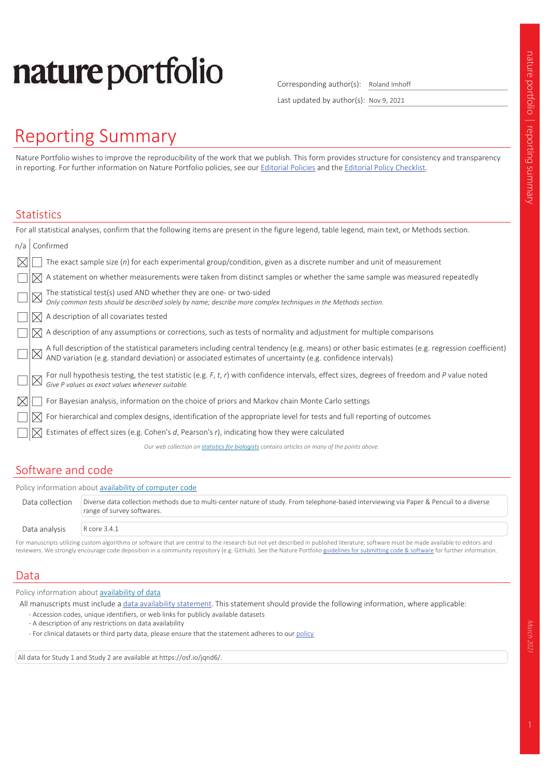# nature portfolio

Corresponding author(s): Roland Imhoff

Last updated by author(s): Nov 9, 2021

# Reporting Summary

Nature Portfolio wishes to improve the reproducibility of the work that we publish. This form provides structure for consistency and transparency in reporting. For further information on Nature Portfolio policies, see our Editorial Policies and the Editorial Policy Checklist.

#### **Statistics**

|     |           | For all statistical analyses, confirm that the following items are present in the figure legend, table legend, main text, or Methods section.                                                                                  |  |  |  |  |  |
|-----|-----------|--------------------------------------------------------------------------------------------------------------------------------------------------------------------------------------------------------------------------------|--|--|--|--|--|
| n/a | Confirmed |                                                                                                                                                                                                                                |  |  |  |  |  |
|     |           | The exact sample size $(n)$ for each experimental group/condition, given as a discrete number and unit of measurement                                                                                                          |  |  |  |  |  |
|     |           | A statement on whether measurements were taken from distinct samples or whether the same sample was measured repeatedly                                                                                                        |  |  |  |  |  |
|     |           | The statistical test(s) used AND whether they are one- or two-sided<br>Only common tests should be described solely by name; describe more complex techniques in the Methods section.                                          |  |  |  |  |  |
|     |           | A description of all covariates tested                                                                                                                                                                                         |  |  |  |  |  |
|     |           | A description of any assumptions or corrections, such as tests of normality and adjustment for multiple comparisons                                                                                                            |  |  |  |  |  |
|     |           | A full description of the statistical parameters including central tendency (e.g. means) or other basic estimates (e.g. regression coefficient) AND variation (e.g. standard deviation) or associated estimates of uncertainty |  |  |  |  |  |
|     |           | For null hypothesis testing, the test statistic (e.g. F, t, r) with confidence intervals, effect sizes, degrees of freedom and P value noted Give P values as exact values whenever suitable.                                  |  |  |  |  |  |
|     |           | For Bayesian analysis, information on the choice of priors and Markov chain Monte Carlo settings                                                                                                                               |  |  |  |  |  |
|     |           | For hierarchical and complex designs, identification of the appropriate level for tests and full reporting of outcomes                                                                                                         |  |  |  |  |  |
|     |           | Estimates of effect sizes (e.g. Cohen's $d$ , Pearson's $r$ ), indicating how they were calculated                                                                                                                             |  |  |  |  |  |
|     |           | Our web collection on statistics for biologists contains articles on many of the points above.                                                                                                                                 |  |  |  |  |  |
|     |           |                                                                                                                                                                                                                                |  |  |  |  |  |

## Software and code

|                 | Policy information about availability of computer code                                                                                                                |  |  |  |  |  |  |
|-----------------|-----------------------------------------------------------------------------------------------------------------------------------------------------------------------|--|--|--|--|--|--|
| Data collection | Diverse data collection methods due to multi-center nature of study. From telephone-based interviewing via Paper & Pencuil to a diverse<br>range of survey softwares. |  |  |  |  |  |  |
| Data analysis   | R core 3.4.1                                                                                                                                                          |  |  |  |  |  |  |

For manuscripts utilizing custom algorithms or software that are central to the research but not yet described in published literature, software must be made available to editors and reviewers. We strongly encourage code deposition in a community repository (e.g. GitHub). See the Nature Portfolio guidelines for submitting code & software for further information.

## Data

Policy information about availability of data

All manuscripts must include a data availability statement. This statement should provide the following information, where applicable:

- Accession codes, unique identifiers, or web links for publicly available datasets
- A description of any restrictions on data availability
- For clinical datasets or third party data, please ensure that the statement adheres to our policy

All data for Study 1 and Study 2 are available at https://osf.io/jqnd6/.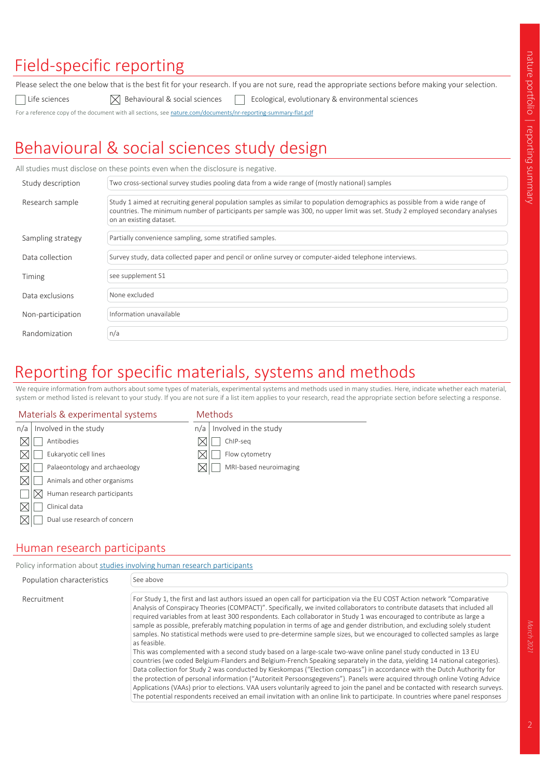# Field-specific reporting

Please select the one below that is the best fit for your research. If you are not sure, read the appropriate sections before making your selection.

Life sciences  $\boxtimes$  Behavioural & social sciences  $\Box$  Ecological, evolutionary & environmental sciences

For a reference copy of the document with all sections, see nature.com/documents/nr-reporting-summary-flat.pdf

# Behavioural & social sciences study design

All studies must disclose on these points even when the disclosure is negative.

| Study description | Two cross-sectional survey studies pooling data from a wide range of (mostly national) samples                                                                                                                                                                                            |
|-------------------|-------------------------------------------------------------------------------------------------------------------------------------------------------------------------------------------------------------------------------------------------------------------------------------------|
| Research sample   | Study 1 aimed at recruiting general population samples as similar to population demographics as possible from a wide range of<br>countries. The minimum number of participants per sample was 300, no upper limit was set. Study 2 employed secondary analyses<br>on an existing dataset. |
| Sampling strategy | Partially convenience sampling, some stratified samples.                                                                                                                                                                                                                                  |
| Data collection   | Survey study, data collected paper and pencil or online survey or computer-aided telephone interviews.                                                                                                                                                                                    |
| Timing            | see supplement S1                                                                                                                                                                                                                                                                         |
| Data exclusions   | None excluded                                                                                                                                                                                                                                                                             |
| Non-participation | Information unavailable                                                                                                                                                                                                                                                                   |
| Randomization     | n/a                                                                                                                                                                                                                                                                                       |

# Reporting for specific materials, systems and methods

We require information from authors about some types of materials, experimental systems and methods used in many studies. Here, indicate whether each material, system or method listed is relevant to your study. If you are not sure if a list item applies to your research, read the appropriate section before selecting a response.

#### Materials & experimental systems

#### Methods

| n/a | Involved in the study              | n/a       | Involved in the study  |
|-----|------------------------------------|-----------|------------------------|
|     | Antibodies                         |           | ChIP-seq               |
|     | Eukaryotic cell lines              |           | Flow cytometry         |
|     | Palaeontology and archaeology      | $\bowtie$ | MRI-based neuroimaging |
|     | Animals and other organisms        |           |                        |
|     | Human research participants<br>IХI |           |                        |
|     | Clinical data                      |           |                        |
|     | Dual use research of concern       |           |                        |
|     |                                    |           |                        |

## Human research participants

|                            | Policy information about studies involving human research participants                                                                                                                                                                                                                                                                                                                                                                                                                                                                                                                                                                                                                                                                                                                                                                                                                                                                                                                                                                                                                                                                                                                                                                                                                                                                                                                                                                 |  |  |  |  |  |
|----------------------------|----------------------------------------------------------------------------------------------------------------------------------------------------------------------------------------------------------------------------------------------------------------------------------------------------------------------------------------------------------------------------------------------------------------------------------------------------------------------------------------------------------------------------------------------------------------------------------------------------------------------------------------------------------------------------------------------------------------------------------------------------------------------------------------------------------------------------------------------------------------------------------------------------------------------------------------------------------------------------------------------------------------------------------------------------------------------------------------------------------------------------------------------------------------------------------------------------------------------------------------------------------------------------------------------------------------------------------------------------------------------------------------------------------------------------------------|--|--|--|--|--|
| Population characteristics | See above                                                                                                                                                                                                                                                                                                                                                                                                                                                                                                                                                                                                                                                                                                                                                                                                                                                                                                                                                                                                                                                                                                                                                                                                                                                                                                                                                                                                                              |  |  |  |  |  |
| Recruitment                | For Study 1, the first and last authors issued an open call for participation via the EU COST Action network "Comparative<br>Analysis of Conspiracy Theories (COMPACT)". Specifically, we invited collaborators to contribute datasets that included all<br>required variables from at least 300 respondents. Each collaborator in Study 1 was encouraged to contribute as large a<br>sample as possible, preferably matching population in terms of age and gender distribution, and excluding solely student<br>samples. No statistical methods were used to pre-determine sample sizes, but we encouraged to collected samples as large<br>as feasible.<br>This was complemented with a second study based on a large-scale two-wave online panel study conducted in 13 EU<br>countries (we coded Belgium-Flanders and Belgium-French Speaking separately in the data, yielding 14 national categories).<br>Data collection for Study 2 was conducted by Kieskompas ("Election compass") in accordance with the Dutch Authority for<br>the protection of personal information ("Autoriteit Persoonsgegevens"). Panels were acquired through online Voting Advice<br>Applications (VAAs) prior to elections. VAA users voluntarily agreed to join the panel and be contacted with research surveys.<br>The potential respondents received an email invitation with an online link to participate. In countries where panel responses |  |  |  |  |  |